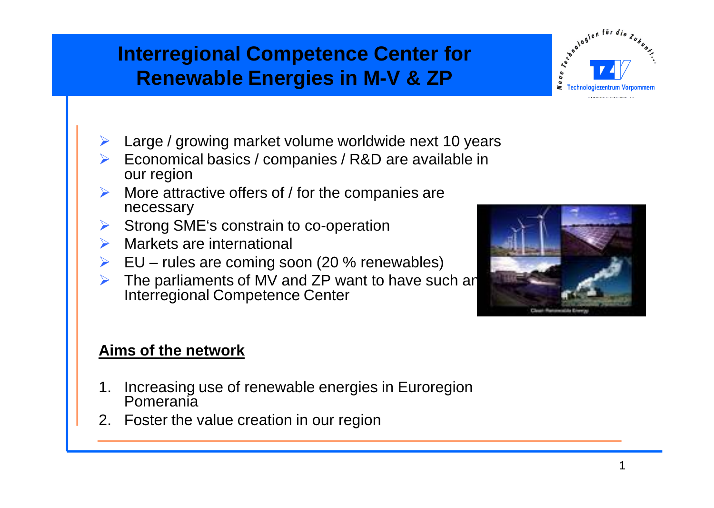## **Interregional Competence Center for Renewable Energies in M-V & ZP**

- Large / growing market volume worldwide next 10 years
- Economical basics / companies / R&D are available in our region
- More attractive offers of / for the companies are necessary
- Strong SME's constrain to co-operation
- **Markets are international**
- $\triangleright$  EU rules are coming soon (20 % renewables)
- The parliaments of MV and ZP want to have such an Interregional Competence Center

### **Aims of the network**

- Increasing use of renewable energies in Euroregion Pomerania
- 2. Foster the value creation in our region



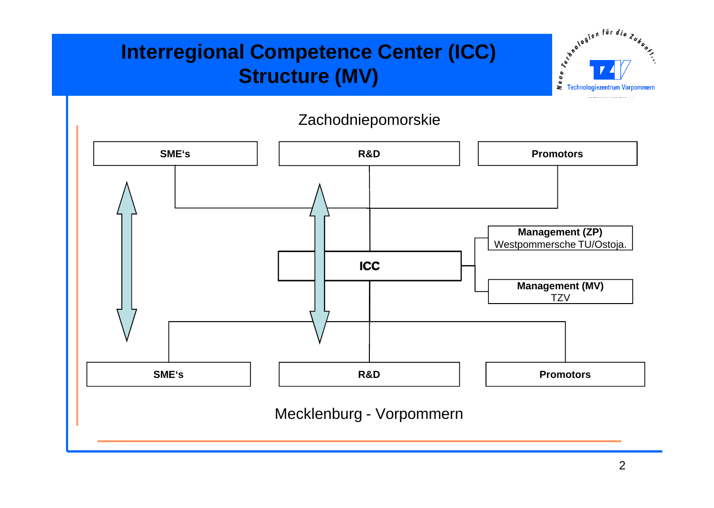### **Interregional Competence Center (ICC) Structure (MV)**



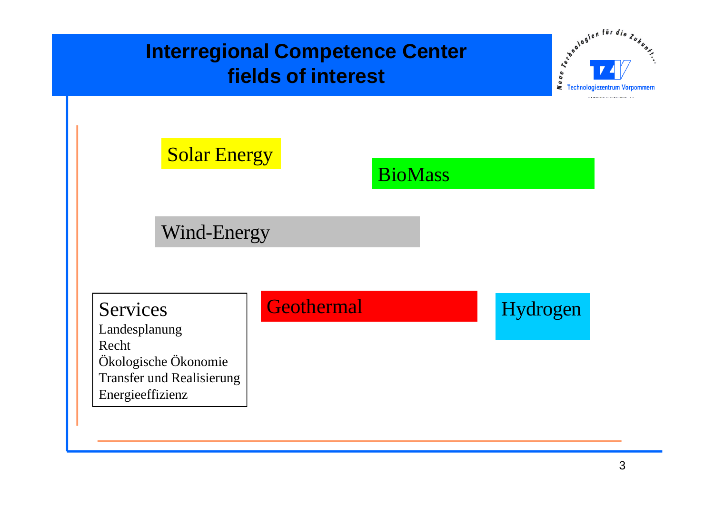## **Interregional Competence Center fields of interest**



## **Solar Energy**

# **BioMass**

Wind-Energy

Landesplanung Recht Ökologische Ökonomie Transfer und Realisierung Energieeffizienz

## Services Geothermal Hydrogen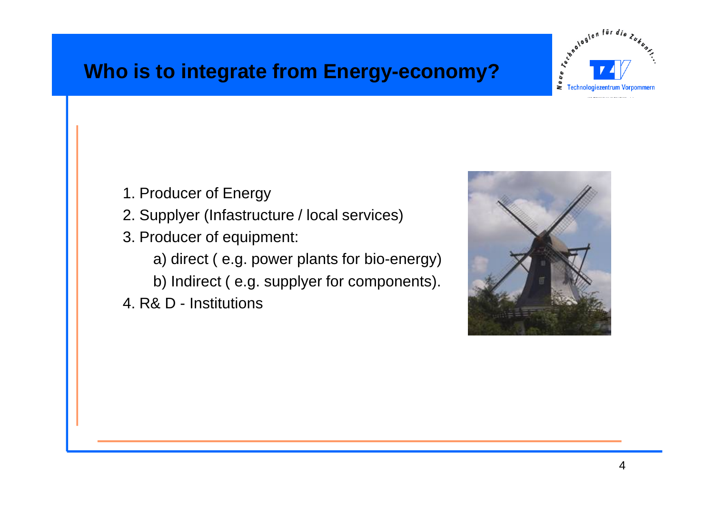### **Who is to integrate from Energy-economy?**



- 1. Producer of Energy
- 2. Supplyer (Infastructure / local services)
- 3. Producer of equipment:
	- a) direct ( e.g. power plants for bio-energy)
	- b) Indirect ( e.g. supplyer for components).
- 4. R& D Institutions

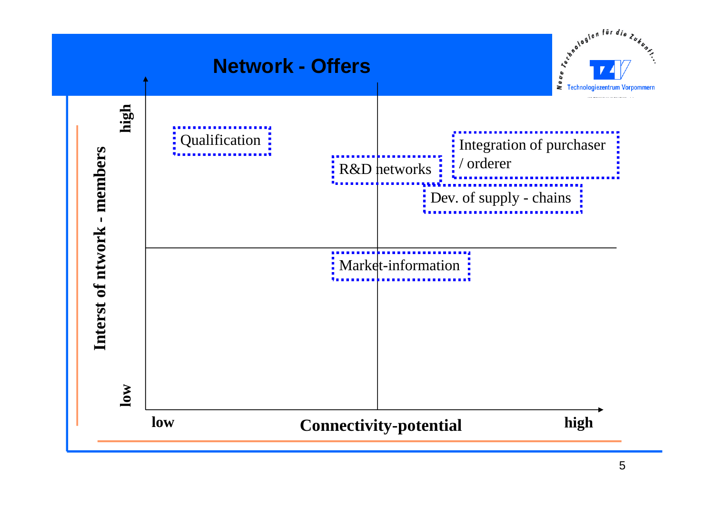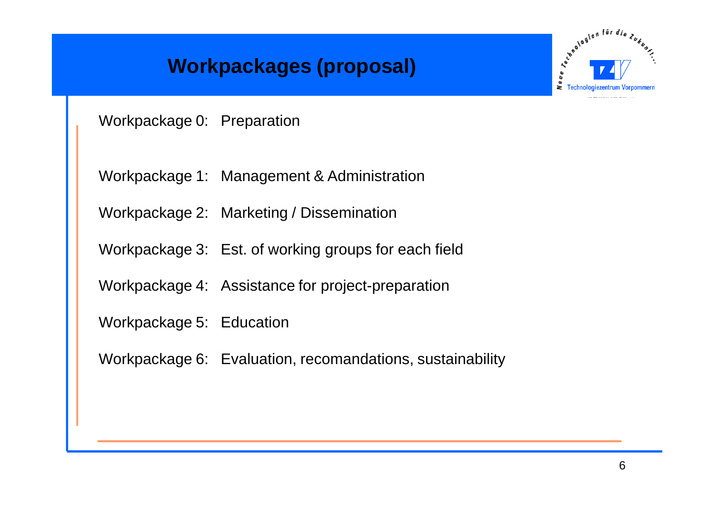## **Workpackages (proposal)**



Workpackage 0: Preparation

Workpackage 1: Management & Administration

Workpackage 2: Marketing / Dissemination

Workpackage 3: Est. of working groups for each field

Workpackage 4: Assistance for project-preparation

Workpackage 5: Education

Workpackage 6: Evaluation, recomandations, sustainability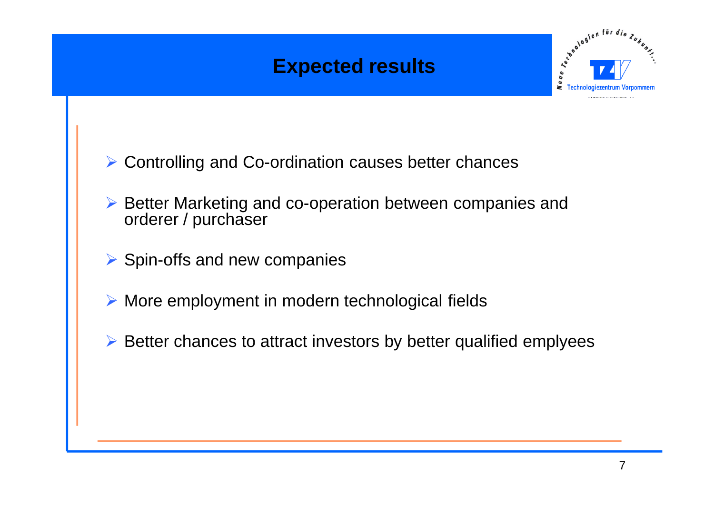### **Expected results**



- $\triangleright$  Controlling and Co-ordination causes better chances
- $\triangleright$  Better Marketing and co-operation between companies and orderer / purchaser
- $\triangleright$  Spin-offs and new companies
- $\triangleright$  More employment in modern technological fields
- $\triangleright$  Better chances to attract investors by better qualified emplyees